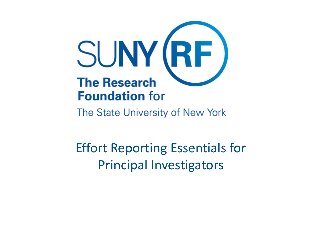

The State University of New York

Effort Reporting Essentials for Principal Investigators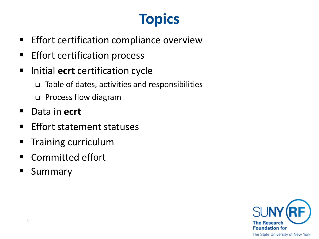# **Topics**

- **Effort certification compliance overview**
- Effort certification process
- **Initial ecrt** certification cycle
	- $\Box$  Table of dates, activities and responsibilities
	- □ Process flow diagram
- Data in **ecrt**
- **Effort statement statuses**
- **Training curriculum**
- Committed effort
- **Summary**

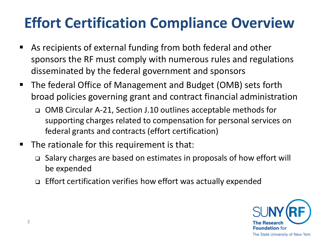## **Effort Certification Compliance Overview**

- As recipients of external funding from both federal and other sponsors the RF must comply with numerous rules and regulations disseminated by the federal government and sponsors
- The federal Office of Management and Budget (OMB) sets forth broad policies governing grant and contract financial administration
	- OMB Circular A-21, Section J.10 outlines acceptable methods for supporting charges related to compensation for personal services on federal grants and contracts (effort certification)
- $\blacksquare$  The rationale for this requirement is that:
	- Salary charges are based on estimates in proposals of how effort will be expended
	- □ Effort certification verifies how effort was actually expended

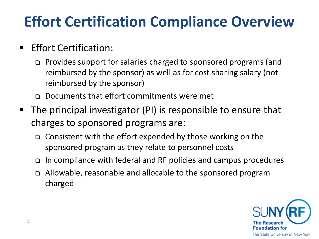#### **Effort Certification Compliance Overview**

#### **Effort Certification:**

- Provides support for salaries charged to sponsored programs (and reimbursed by the sponsor) as well as for cost sharing salary (not reimbursed by the sponsor)
- Documents that effort commitments were met
- The principal investigator (PI) is responsible to ensure that charges to sponsored programs are:
	- $\Box$  Consistent with the effort expended by those working on the sponsored program as they relate to personnel costs
	- $\Box$  In compliance with federal and RF policies and campus procedures
	- Allowable, reasonable and allocable to the sponsored program charged

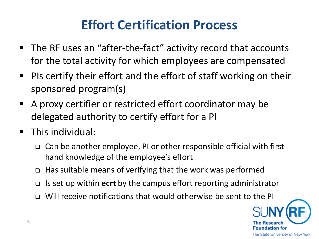#### **Effort Certification Process**

- The RF uses an "after-the-fact" activity record that accounts for the total activity for which employees are compensated
- $\blacksquare$  PIs certify their effort and the effort of staff working on their sponsored program(s)
- A proxy certifier or restricted effort coordinator may be delegated authority to certify effort for a PI
- **This individual:** 
	- Can be another employee, PI or other responsible official with firsthand knowledge of the employee's effort
	- $\Box$  Has suitable means of verifying that the work was performed
	- Is set up within **ecrt** by the campus effort reporting administrator
	- Will receive notifications that would otherwise be sent to the PI

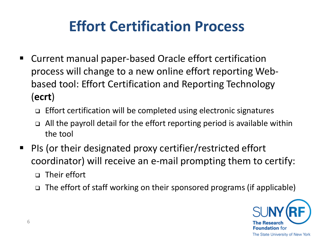#### **Effort Certification Process**

- Current manual paper-based Oracle effort certification process will change to a new online effort reporting Webbased tool: Effort Certification and Reporting Technology (**ecrt**)
	- □ Effort certification will be completed using electronic signatures
	- $\Box$  All the payroll detail for the effort reporting period is available within the tool
- PIs (or their designated proxy certifier/restricted effort coordinator) will receive an e-mail prompting them to certify:
	- □ Their effort
	- $\Box$  The effort of staff working on their sponsored programs (if applicable)

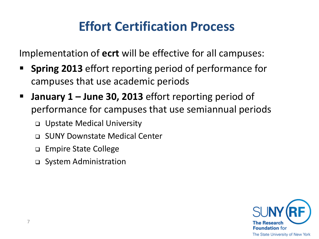#### **Effort Certification Process**

Implementation of **ecrt** will be effective for all campuses:

- **Spring 2013** effort reporting period of performance for campuses that use academic periods
- **January 1 – June 30, 2013** effort reporting period of performance for campuses that use semiannual periods
	- Upstate Medical University
	- SUNY Downstate Medical Center
	- □ Empire State College
	- □ System Administration

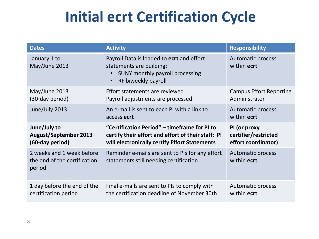#### **Initial ecrt Certification Cycle**

| <b>Dates</b>                                                        | <b>Activity</b>                                                                                                                                           | <b>Responsibility</b>                                       |
|---------------------------------------------------------------------|-----------------------------------------------------------------------------------------------------------------------------------------------------------|-------------------------------------------------------------|
| January 1 to<br>May/June 2013                                       | Payroll Data is loaded to ecrt and effort<br>statements are building:<br>SUNY monthly payroll processing<br>$\bullet$<br>RF biweekly payroll<br>$\bullet$ | <b>Automatic process</b><br>within ecrt                     |
| May/June 2013<br>(30-day period)                                    | Effort statements are reviewed<br>Payroll adjustments are processed                                                                                       | <b>Campus Effort Reporting</b><br>Administrator             |
| June/July 2013                                                      | An e-mail is sent to each PI with a link to<br>access ecrt                                                                                                | Automatic process<br>within ecrt                            |
| June/July to<br><b>August/September 2013</b><br>(60-day period)     | "Certification Period" - timeframe for PI to<br>certify their effort and effort of their staff; PI<br>will electronically certify Effort Statements       | PI (or proxy<br>certifier/restricted<br>effort coordinator) |
| 2 weeks and 1 week before<br>the end of the certification<br>period | Reminder e-mails are sent to PIs for any effort<br>statements still needing certification                                                                 | <b>Automatic process</b><br>within ecrt                     |
| 1 day before the end of the<br>certification period                 | Final e-mails are sent to PIs to comply with<br>the certification deadline of November 30th                                                               | Automatic process<br>within ecrt                            |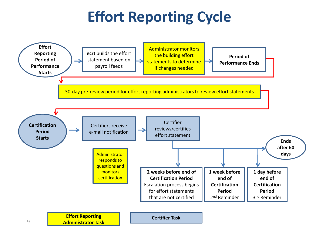#### **Effort Reporting Cycle**

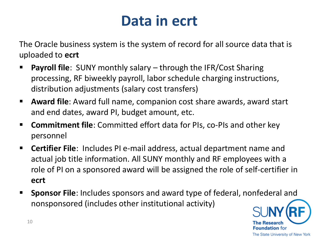#### **Data in ecrt**

The Oracle business system is the system of record for all source data that is uploaded to **ecrt**

- **Payroll file**: SUNY monthly salary through the IFR/Cost Sharing processing, RF biweekly payroll, labor schedule charging instructions, distribution adjustments (salary cost transfers)
- **Award file**: Award full name, companion cost share awards, award start and end dates, award PI, budget amount, etc.
- **Commitment file**: Committed effort data for PIs, co-PIs and other key personnel
- **Certifier File**: Includes PI e-mail address, actual department name and actual job title information. All SUNY monthly and RF employees with a role of PI on a sponsored award will be assigned the role of self-certifier in **ecrt**
- **Sponsor File**: Includes sponsors and award type of federal, nonfederal and nonsponsored (includes other institutional activity)

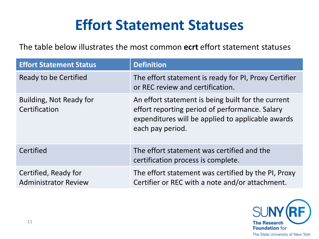#### **Effort Statement Statuses**

The table below illustrates the most common **ecrt** effort statement statuses

| <b>Effort Statement Status</b>                      | <b>Definition</b>                                                                                                                                                             |
|-----------------------------------------------------|-------------------------------------------------------------------------------------------------------------------------------------------------------------------------------|
| Ready to be Certified                               | The effort statement is ready for PI, Proxy Certifier<br>or REC review and certification.                                                                                     |
| Building, Not Ready for<br>Certification            | An effort statement is being built for the current<br>effort reporting period of performance. Salary<br>expenditures will be applied to applicable awards<br>each pay period. |
| Certified                                           | The effort statement was certified and the<br>certification process is complete.                                                                                              |
| Certified, Ready for<br><b>Administrator Review</b> | The effort statement was certified by the PI, Proxy<br>Certifier or REC with a note and/or attachment.                                                                        |

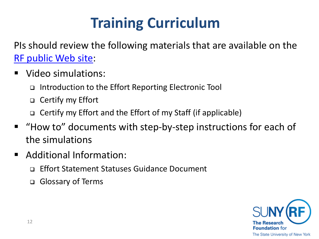# **Training Curriculum**

PIs should review the following materials that are available on the [RF public Web site](https://portal.rfsuny.org/portal/page/portal/The Research Foundation of SUNY/home/info_researchers_administrators/effort_reporting_certification/pi_training):

- Video simulations:
	- Introduction to the Effort Reporting Electronic Tool
	- Certify my Effort
	- □ Certify my Effort and the Effort of my Staff (if applicable)
- "How to" documents with step-by-step instructions for each of the simulations
- Additional Information:
	- □ Effort Statement Statuses Guidance Document
	- Glossary of Terms

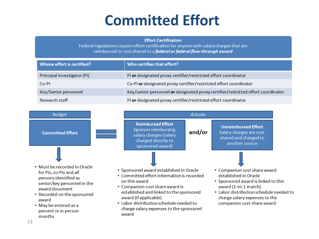#### **Committed Effort**

#### **Effort Certification**

Federal regulations require effort certification for anyone with salary charges that are reimbursed or cost shared to a federal or federal flow-through award

| Whose effort is certified?  | Who certifies that effort?                                                       |
|-----------------------------|----------------------------------------------------------------------------------|
| Principal investigator (PI) | PI or designated proxy certifier/restricted effort coordinator                   |
| Co-PI                       | Co-PI or designated proxy certifier/restricted effort coordinator                |
| Key/Senior personnel        | Key/senior personnel or designated proxy certifier/restricted effort coordinator |
| <b>Research staff</b>       | PI or designated proxy certifier/restricted effort coordinator                   |

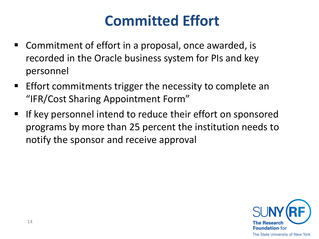#### **Committed Effort**

- Commitment of effort in a proposal, once awarded, is recorded in the Oracle business system for PIs and key personnel
- **Effort commitments trigger the necessity to complete an** "IFR/Cost Sharing Appointment Form"
- **If key personnel intend to reduce their effort on sponsored** programs by more than 25 percent the institution needs to notify the sponsor and receive approval